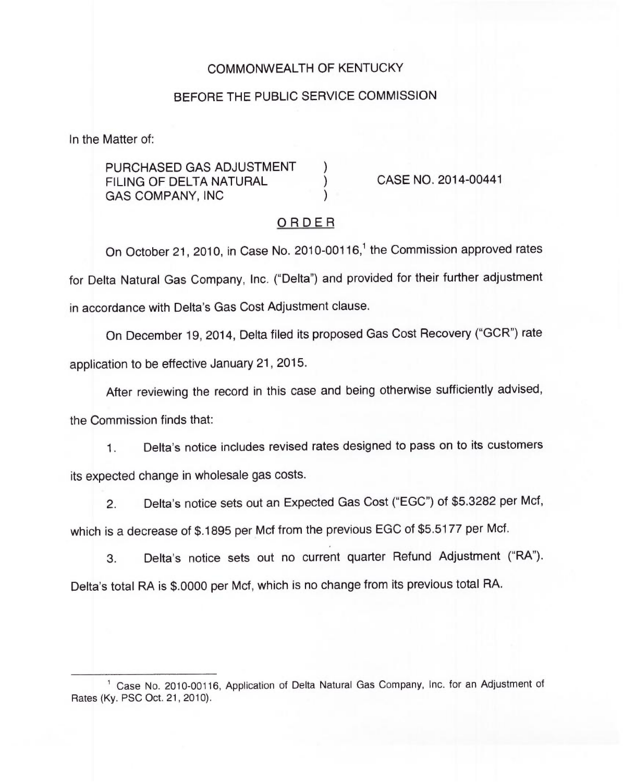# COMMONWEALTH OF KENTUCKY

### BEFORE THE PUBLIC SERVICE COMMISSION

In the Matter of:

PURCHASED GAS ADJUSTMENT FILING OF DELTA NATURAL GAS COMPANY, INC )

CASE NO. 2014-00441

### ORDER

On October 21, 2010, in Case No. 2010-00116,<sup>1</sup> the Commission approved rates for Delta Natural Gas Company, Inc. ("Delta") and provided for their further adjustment in accordance with Delta's Gas Cost Adjustment clause.

On December 19, 2014, Delta filed its proposed Gas Cost Recovery ("GCR") rate application to be effective January 21, 2015.

After reviewing the record in this case and being otherwise sufficiently advised,

the Commission finds that:

1. Delta's notice includes revised rates designed to pass on to its customers its expected change in wholesale gas costs.

2. Delta's notice sets out an Expected Gas Cost ("EGC") of \$5.3282 per Mcf, which is a decrease of \$.1895 per Mcf from the previous EGC of \$5.5177 per Mcf.

3. Delta's notice sets out no current quarter Refund Adjustment ("RA"). Delta's total RA is \$.0000 per Mcf, which is no change from its previous total RA.

Case No. 2010-00116, Application of Delta Natural Gas Company, inc. for an Adjustment of Rates (Ky. PSC Oct. 21, 2010).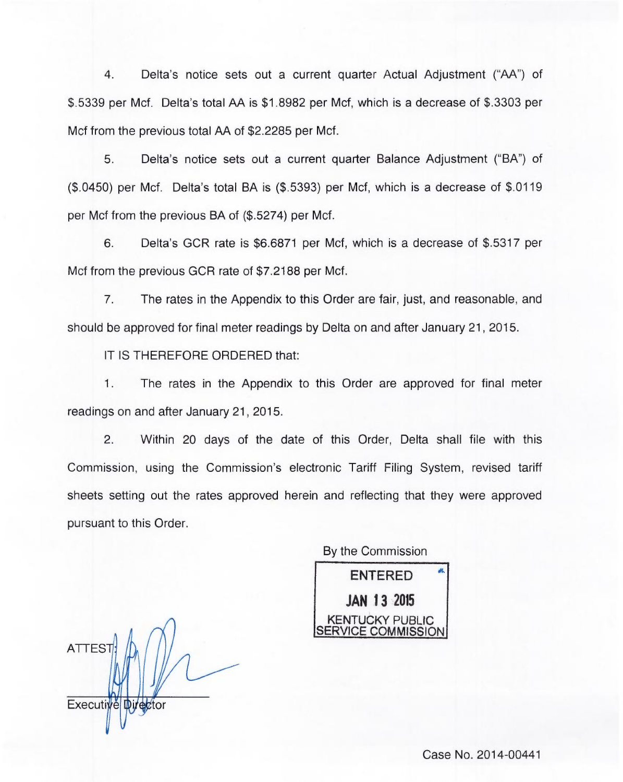4. Delta's notice sets out a current quarter Actual Adjustment ("AA") of \$.5339 per Mcf. Delta's total AA is \$1.8982 per Mcf, which is a decrease of \$.3303 per Mcf from the previous total AA of \$2.2285 per Mcf.

5. Delta's notice sets out a current quarter Balance Adjustment ("BA") of (\$.0450) per Mcf. Delta's total BA is (\$.5393) per Mcf, which is a decrease of \$.0119 per Mcf from the previous BA of (\$.5274) per Mcf.

6. Delta's GCR rate is \$6.6871 per Mcf, which is a decrease of \$.5317 per Mcf from the previous GCR rate of \$7.2188 per Mcf.

7. The rates in the Appendix to this Order are fair, just, and reasonable, and should be approved for final meter readings by Delta on and after January 21, 2015.

IT IS THEREFORE ORDERED that:

1. The rates in the Appendix to this Order are approved for final meter readings on and after January 21, 2015.

2. Within 20 days of the date of this Order, Delta shall file with this Commission, using the Commission's electronic Tariff Filing System, revised tariff sheets setting out the rates approved herein and reflecting that they were approved pursuant to this Order.

By the Commission ENTERED JAN 13 2015 KENTUCKY PUBLIC **/ICE COMMISSION** 

**ATTEST** Executive Director

Case No. 2014-00441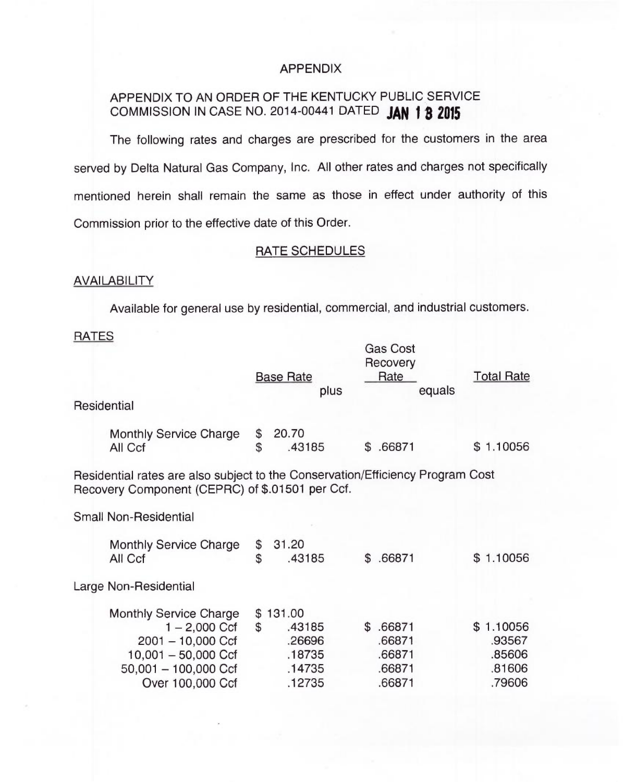# APPENDIX

# APPENDIX TO AN ORDER OF THE KENTUCKY PUBLIC SERVICE COMMISSION IN CASE NO. 2014-00441 DATED JAN 1 3 2015

The following rates and charges are prescribed for the customers in the area served by Delta Natural Gas Company, Inc. AII other rates and charges not specifically mentioned herein shall remain the same as those in effect under authority of this Commission prior to the effective date of this Order.

### RATE SCHEDULES

# **AVAILABILITY**

Available for general use by residential, commercial, and industrial customers.

 $G - G - 1$ 

# **RATES**

|                                                                                                                                                |                | <b>Base Rate</b><br>plus                                   | Gas Cost<br>Recovery<br>Rate<br>equals           | <b>Total Rate</b>                                 |
|------------------------------------------------------------------------------------------------------------------------------------------------|----------------|------------------------------------------------------------|--------------------------------------------------|---------------------------------------------------|
| Residential                                                                                                                                    |                |                                                            |                                                  |                                                   |
| <b>Monthly Service Charge</b><br>All Ccf                                                                                                       | \$<br>\$       | 20.70<br>.43185                                            | \$.66871                                         | \$1.10056                                         |
| Residential rates are also subject to the Conservation/Efficiency Program Cost<br>Recovery Component (CEPRC) of \$.01501 per Ccf.              |                |                                                            |                                                  |                                                   |
| <b>Small Non-Residential</b>                                                                                                                   |                |                                                            |                                                  |                                                   |
| <b>Monthly Service Charge</b><br>All Ccf                                                                                                       | \$<br>\$       | 31.20<br>.43185                                            | \$.66871                                         | \$1.10056                                         |
| Large Non-Residential                                                                                                                          |                |                                                            |                                                  |                                                   |
| <b>Monthly Service Charge</b><br>$1 - 2,000$ Ccf<br>$2001 - 10,000$ Ccf<br>$10,001 - 50,000$ Ccf<br>$50,001 - 100,000$ Ccf<br>Over 100,000 Ccf | $\mathfrak{S}$ | \$131.00<br>.43185<br>.26696<br>.18735<br>.14735<br>.12735 | \$.66871<br>.66871<br>.66871<br>.66871<br>.66871 | \$1.10056<br>.93567<br>.85606<br>.81606<br>.79606 |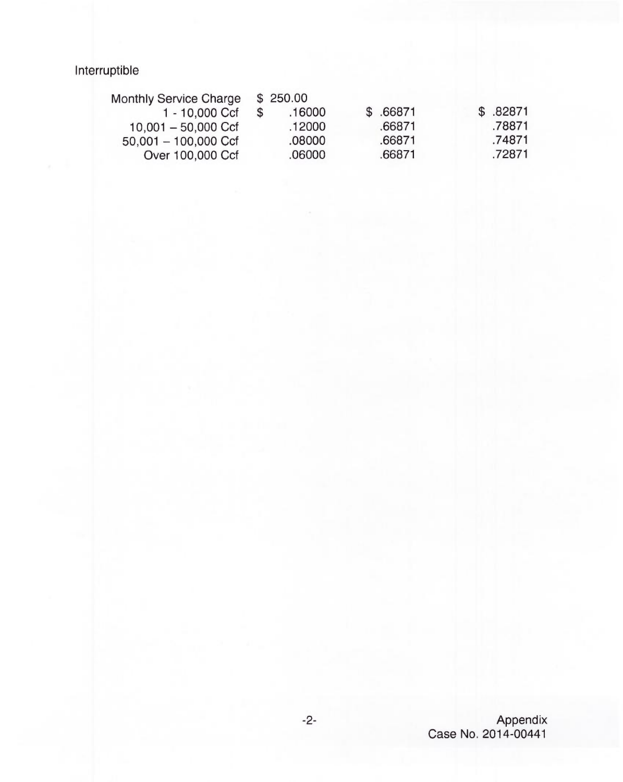Interruptible

| <b>Monthly Service Charge</b> | \$250.00 |           |           |
|-------------------------------|----------|-----------|-----------|
| 1 - 10,000 Ccf                | .16000   | \$ .66871 | \$ .82871 |
| $10.001 - 50.000$ Ccf         | .12000   | .66871    | .78871    |
| $50,001 - 100,000$ Ccf        | .08000   | .66871    | .74871    |
| Over 100,000 Ccf              | .06000   | .66871    | .72871    |
|                               |          |           |           |